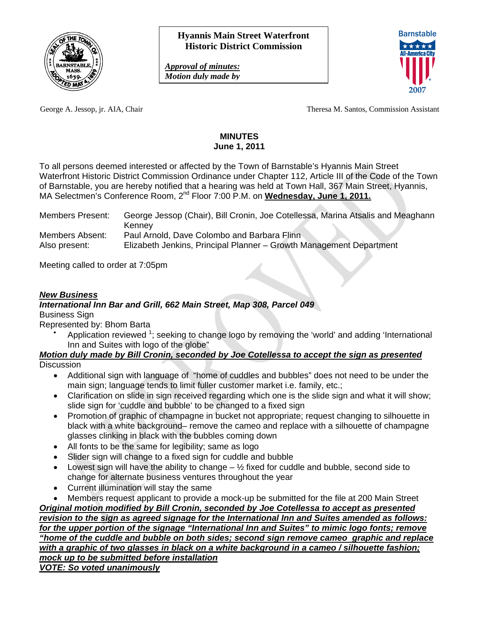

*Approval of minutes: Motion duly made by* 



George A. Jessop, jr. AIA, Chair Theresa M. Santos, Commission Assistant

### **MINUTES June 1, 2011**

To all persons deemed interested or affected by the Town of Barnstable's Hyannis Main Street Waterfront Historic District Commission Ordinance under Chapter 112, Article III of the Code of the Town of Barnstable, you are hereby notified that a hearing was held at Town Hall, 367 Main Street, Hyannis, MA Selectmen's Conference Room, 2<sup>nd</sup> Floor 7:00 P.M. on Wednesday, June 1, 2011.

| <b>Members Present:</b> | George Jessop (Chair), Bill Cronin, Joe Cotellessa, Marina Atsalis and Meaghann |
|-------------------------|---------------------------------------------------------------------------------|
|                         | Kennev                                                                          |
| Members Absent:         | Paul Arnold, Dave Colombo and Barbara Flinn                                     |
| Also present:           | Elizabeth Jenkins, Principal Planner - Growth Management Department             |

Meeting called to order at 7:05pm

## *New Business*

## *International Inn Bar and Grill, 662 Main Street, Map 308, Parcel 049*

Business Sign

Represented by: Bhom Barta

 $\bullet$ Application reviewed  $1$ ; seeking to change logo by removing the 'world' and adding 'International Inn and Suites with logo of the globe"

#### *Motion duly made by Bill Cronin, seconded by Joe Cotellessa to accept the sign as presented* **Discussion**

- Additional sign with language of "home of cuddles and bubbles" does not need to be under the main sign; language tends to limit fuller customer market i.e. family, etc.;
- Clarification on slide in sign received regarding which one is the slide sign and what it will show; slide sign for 'cuddle and bubble' to be changed to a fixed sign
- Promotion of graphic of champagne in bucket not appropriate; request changing to silhouette in black with a white background– remove the cameo and replace with a silhouette of champagne glasses clinking in black with the bubbles coming down
- All fonts to be the same for legibility; same as logo
- Slider sign will change to a fixed sign for cuddle and bubble
- Lowest sign will have the ability to change  $-\frac{1}{2}$  fixed for cuddle and bubble, second side to change for alternate business ventures throughout the year
- Current illumination will stay the same
- Members request applicant to provide a mock-up be submitted for the file at 200 Main Street

*Original motion modified by Bill Cronin, seconded by Joe Cotellessa to accept as presented revision to the sign as agreed signage for the International Inn and Suites amended as follows: for the upper portion of the signage "International Inn and Suites" to mimic logo fonts; remove "home of the cuddle and bubble on both sides; second sign remove cameo graphic and replace with a graphic of two glasses in black on a white background in a cameo / silhouette fashion; mock up to be submitted before installation VOTE: So voted unanimously*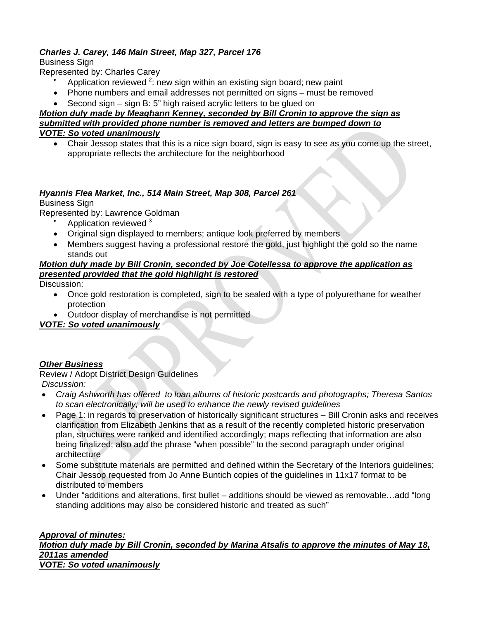# *Charles J. Carey, 146 Main Street, Map 327, Parcel 176*

Business Sign

Represented by: Charles Carey

- $\bullet$ Application reviewed  $2$ : new sign within an existing sign board; new paint
- Phone numbers and email addresses not permitted on signs must be removed
- Second sign sign B: 5" high raised acrylic letters to be glued on

### *Motion duly made by Meaghann Kenney, seconded by Bill Cronin to approve the sign as submitted with provided phone number is removed and letters are bumped down to VOTE: So voted unanimously*

 Chair Jessop states that this is a nice sign board, sign is easy to see as you come up the street, appropriate reflects the architecture for the neighborhood

## *Hyannis Flea Market, Inc., 514 Main Street, Map 308, Parcel 261*

### Business Sign

Represented by: Lawrence Goldman

- $\bullet$ Application reviewed <sup>3</sup>
- Original sign displayed to members; antique look preferred by members
- Members suggest having a professional restore the gold, just highlight the gold so the name stands out

### *Motion duly made by Bill Cronin, seconded by Joe Cotellessa to approve the application as presented provided that the gold highlight is restored*

Discussion:

- Once gold restoration is completed, sign to be sealed with a type of polyurethane for weather protection
- Outdoor display of merchandise is not permitted

## *VOTE: So voted unanimously*

## *Other Business*

Review / Adopt District Design Guidelines *Discussion:* 

- *Craig Ashworth has offered to loan albums of historic postcards and photographs; Theresa Santos to scan electronically; will be used to enhance the newly revised guidelines*
- Page 1: in regards to preservation of historically significant structures Bill Cronin asks and receives clarification from Elizabeth Jenkins that as a result of the recently completed historic preservation plan, structures were ranked and identified accordingly; maps reflecting that information are also being finalized; also add the phrase "when possible" to the second paragraph under original architecture
- Some substitute materials are permitted and defined within the Secretary of the Interiors guidelines; Chair Jessop requested from Jo Anne Buntich copies of the guidelines in 11x17 format to be distributed to members
- Under "additions and alterations, first bullet additions should be viewed as removable…add "long standing additions may also be considered historic and treated as such"

#### *Approval of minutes: Motion duly made by Bill Cronin, seconded by Marina Atsalis to approve the minutes of May 18, 2011as amended VOTE: So voted unanimously*